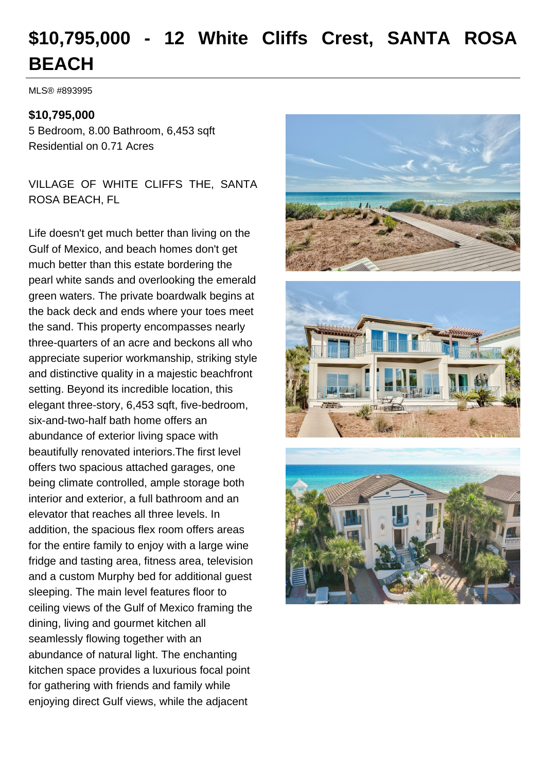# **\$10,795,000 - 12 White Cliffs Crest, SANTA ROSA BEACH**

MLS® #893995

#### **\$10,795,000**

5 Bedroom, 8.00 Bathroom, 6,453 sqft Residential on 0.71 Acres

VILLAGE OF WHITE CLIFFS THE, SANTA ROSA BEACH, FL

Life doesn't get much better than living on the Gulf of Mexico, and beach homes don't get much better than this estate bordering the pearl white sands and overlooking the emerald green waters. The private boardwalk begins at the back deck and ends where your toes meet the sand. This property encompasses nearly three-quarters of an acre and beckons all who appreciate superior workmanship, striking style and distinctive quality in a majestic beachfront setting. Beyond its incredible location, this elegant three-story, 6,453 sqft, five-bedroom, six-and-two-half bath home offers an abundance of exterior living space with beautifully renovated interiors.The first level offers two spacious attached garages, one being climate controlled, ample storage both interior and exterior, a full bathroom and an elevator that reaches all three levels. In addition, the spacious flex room offers areas for the entire family to enjoy with a large wine fridge and tasting area, fitness area, television and a custom Murphy bed for additional guest sleeping. The main level features floor to ceiling views of the Gulf of Mexico framing the dining, living and gourmet kitchen all seamlessly flowing together with an abundance of natural light. The enchanting kitchen space provides a luxurious focal point for gathering with friends and family while enjoying direct Gulf views, while the adjacent





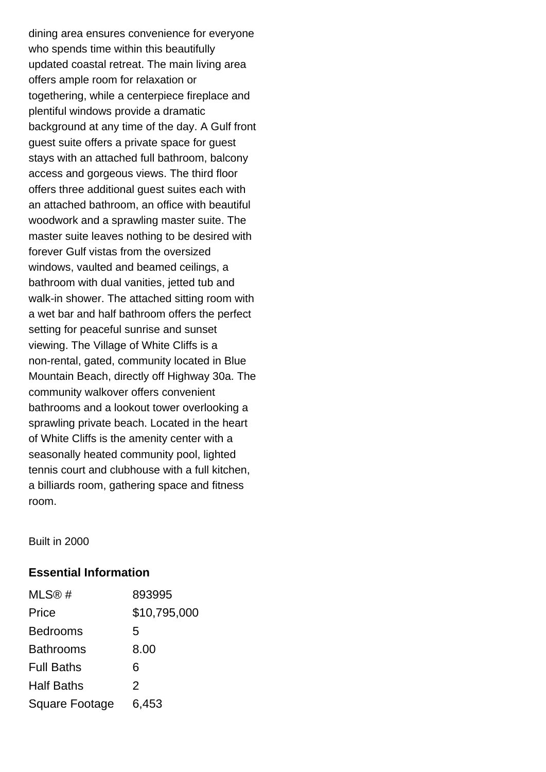dining area ensures convenience for everyone who spends time within this beautifully updated coastal retreat. The main living area offers ample room for relaxation or togethering, while a centerpiece fireplace and plentiful windows provide a dramatic background at any time of the day. A Gulf front guest suite offers a private space for guest stays with an attached full bathroom, balcony access and gorgeous views. The third floor offers three additional guest suites each with an attached bathroom, an office with beautiful woodwork and a sprawling master suite. The master suite leaves nothing to be desired with forever Gulf vistas from the oversized windows, vaulted and beamed ceilings, a bathroom with dual vanities, jetted tub and walk-in shower. The attached sitting room with a wet bar and half bathroom offers the perfect setting for peaceful sunrise and sunset viewing. The Village of White Cliffs is a non-rental, gated, community located in Blue Mountain Beach, directly off Highway 30a. The community walkover offers convenient bathrooms and a lookout tower overlooking a sprawling private beach. Located in the heart of White Cliffs is the amenity center with a seasonally heated community pool, lighted tennis court and clubhouse with a full kitchen, a billiards room, gathering space and fitness room.

Built in 2000

#### **Essential Information**

| MLS@#             | 893995        |
|-------------------|---------------|
| Price             | \$10,795,000  |
| <b>Bedrooms</b>   | 5             |
| <b>Bathrooms</b>  | 8.00          |
| <b>Full Baths</b> | 6             |
| <b>Half Baths</b> | $\mathcal{P}$ |
| Square Footage    | 6,453         |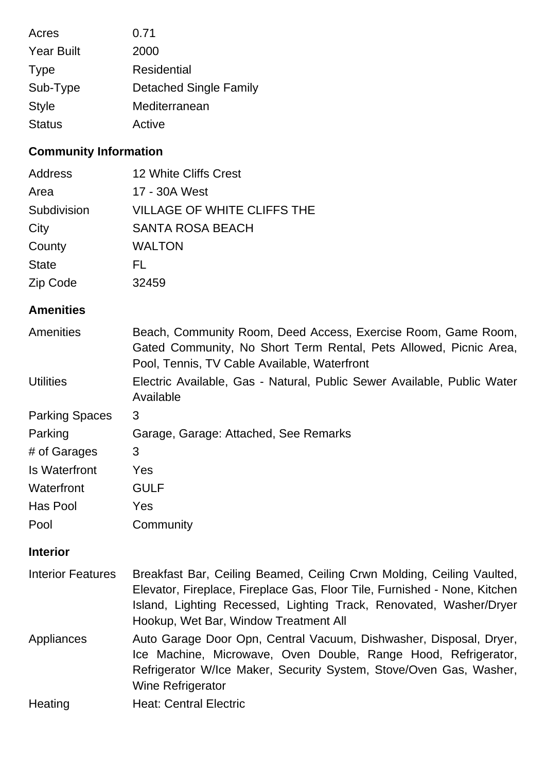| Acres             | 0.71                          |
|-------------------|-------------------------------|
| <b>Year Built</b> | 2000                          |
| <b>Type</b>       | Residential                   |
| Sub-Type          | <b>Detached Single Family</b> |
| <b>Style</b>      | Mediterranean                 |
| <b>Status</b>     | Active                        |

# **Community Information**

| <b>12 White Cliffs Crest</b>       |
|------------------------------------|
| 17 - 30A West                      |
| <b>VILLAGE OF WHITE CLIFFS THE</b> |
| <b>SANTA ROSA BEACH</b>            |
| <b>WALTON</b>                      |
| FL                                 |
| 32459                              |
|                                    |

# **Amenities**

| <b>Amenities</b>      | Beach, Community Room, Deed Access, Exercise Room, Game Room,<br>Gated Community, No Short Term Rental, Pets Allowed, Picnic Area,<br>Pool, Tennis, TV Cable Available, Waterfront |
|-----------------------|------------------------------------------------------------------------------------------------------------------------------------------------------------------------------------|
| <b>Utilities</b>      | Electric Available, Gas - Natural, Public Sewer Available, Public Water<br>Available                                                                                               |
| <b>Parking Spaces</b> | 3                                                                                                                                                                                  |
| Parking               | Garage, Garage: Attached, See Remarks                                                                                                                                              |
| # of Garages          | 3                                                                                                                                                                                  |
| <b>Is Waterfront</b>  | <b>Yes</b>                                                                                                                                                                         |
| Waterfront            | <b>GULF</b>                                                                                                                                                                        |
| Has Pool              | Yes                                                                                                                                                                                |
| Pool                  | Community                                                                                                                                                                          |

## **Interior**

| <b>Interior Features</b> | Breakfast Bar, Ceiling Beamed, Ceiling Crwn Molding, Ceiling Vaulted,<br>Elevator, Fireplace, Fireplace Gas, Floor Tile, Furnished - None, Kitchen<br>Island, Lighting Recessed, Lighting Track, Renovated, Washer/Dryer<br>Hookup, Wet Bar, Window Treatment All |
|--------------------------|-------------------------------------------------------------------------------------------------------------------------------------------------------------------------------------------------------------------------------------------------------------------|
| Appliances               | Auto Garage Door Opn, Central Vacuum, Dishwasher, Disposal, Dryer,<br>Ice Machine, Microwave, Oven Double, Range Hood, Refrigerator,<br>Refrigerator W/Ice Maker, Security System, Stove/Oven Gas, Washer,<br>Wine Refrigerator                                   |
| Heating                  | <b>Heat: Central Electric</b>                                                                                                                                                                                                                                     |